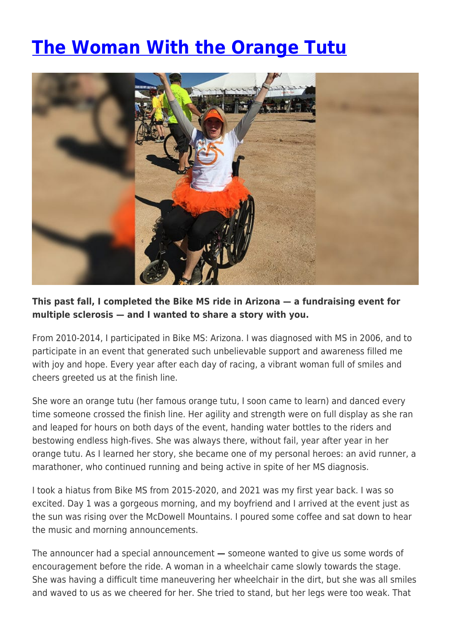## **[The Woman With the Orange Tutu](https://momentummagazineonline.com/blog/the-woman-with-the-orange-tutu/)**



## **This past fall, I completed the Bike MS ride in Arizona — a fundraising event for multiple sclerosis — and I wanted to share a story with you.**

From 2010-2014, I participated in Bike MS: Arizona. I was diagnosed with MS in 2006, and to participate in an event that generated such unbelievable support and awareness filled me with joy and hope. Every year after each day of racing, a vibrant woman full of smiles and cheers greeted us at the finish line.

She wore an orange tutu (her famous orange tutu, I soon came to learn) and danced every time someone crossed the finish line. Her agility and strength were on full display as she ran and leaped for hours on both days of the event, handing water bottles to the riders and bestowing endless high-fives. She was always there, without fail, year after year in her orange tutu. As I learned her story, she became one of my personal heroes: an avid runner, a marathoner, who continued running and being active in spite of her MS diagnosis.

I took a hiatus from Bike MS from 2015-2020, and 2021 was my first year back. I was so excited. Day 1 was a gorgeous morning, and my boyfriend and I arrived at the event just as the sun was rising over the McDowell Mountains. I poured some coffee and sat down to hear the music and morning announcements.

The announcer had a special announcement **—** someone wanted to give us some words of encouragement before the ride. A woman in a wheelchair came slowly towards the stage. She was having a difficult time maneuvering her wheelchair in the dirt, but she was all smiles and waved to us as we cheered for her. She tried to stand, but her legs were too weak. That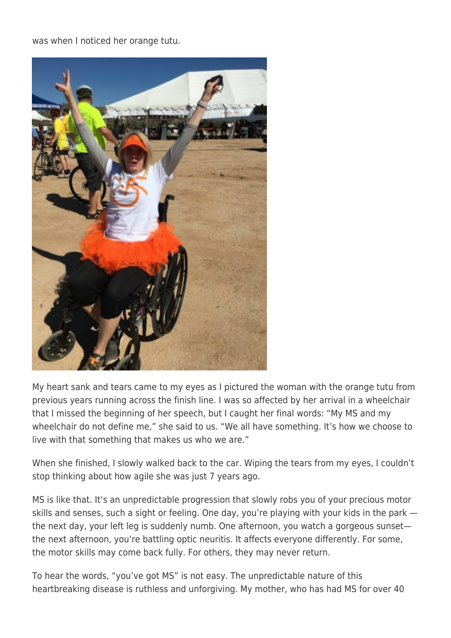was when I noticed her orange tutu.



My heart sank and tears came to my eyes as I pictured the woman with the orange tutu from previous years running across the finish line. I was so affected by her arrival in a wheelchair that I missed the beginning of her speech, but I caught her final words: "My MS and my wheelchair do not define me," she said to us. "We all have something. It's how we choose to live with that something that makes us who we are."

When she finished, I slowly walked back to the car. Wiping the tears from my eyes, I couldn't stop thinking about how agile she was just 7 years ago.

MS is like that. It's an unpredictable progression that slowly robs you of your precious motor skills and senses, such a sight or feeling. One day, you're playing with your kids in the park the next day, your left leg is suddenly numb. One afternoon, you watch a gorgeous sunset the next afternoon, you're battling optic neuritis. It affects everyone differently. For some, the motor skills may come back fully. For others, they may never return.

To hear the words, "you've got MS" is not easy. The unpredictable nature of this heartbreaking disease is ruthless and unforgiving. My mother, who has had MS for over 40